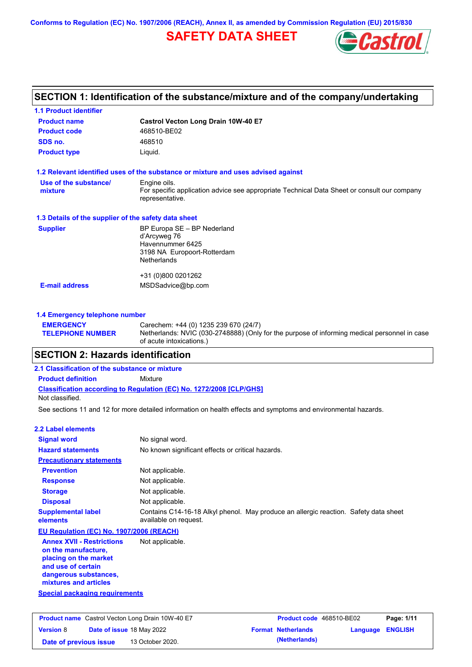**Conforms to Regulation (EC) No. 1907/2006 (REACH), Annex II, as amended by Commission Regulation (EU) 2015/830**

## **SAFETY DATA SHEET**



## **SECTION 1: Identification of the substance/mixture and of the company/undertaking**

| <b>1.1 Product identifier</b>                        |                                                                                                                |
|------------------------------------------------------|----------------------------------------------------------------------------------------------------------------|
| <b>Product name</b>                                  | Castrol Vecton Long Drain 10W-40 E7                                                                            |
| <b>Product code</b>                                  | 468510-BE02                                                                                                    |
| SDS no.                                              | 468510                                                                                                         |
| <b>Product type</b>                                  | Liquid.                                                                                                        |
|                                                      | 1.2 Relevant identified uses of the substance or mixture and uses advised against                              |
| Use of the substance/                                | Engine oils.                                                                                                   |
| mixture                                              | For specific application advice see appropriate Technical Data Sheet or consult our company<br>representative. |
| 1.3 Details of the supplier of the safety data sheet |                                                                                                                |
| <b>Supplier</b>                                      | BP Europa SE - BP Nederland                                                                                    |
|                                                      | d'Arcyweg 76                                                                                                   |
|                                                      | Havennummer 6425<br>3198 NA Europoort-Rotterdam                                                                |
|                                                      | <b>Netherlands</b>                                                                                             |
|                                                      | +31 (0)800 0201262                                                                                             |
| <b>E-mail address</b>                                | MSDSadvice@bp.com                                                                                              |
|                                                      |                                                                                                                |
| 1.4 Emergency telephone number                       |                                                                                                                |

#### **EMERGENCY TELEPHONE NUMBER** Carechem: +44 (0) 1235 239 670 (24/7) Netherlands: NVIC (030-2748888) (Only for the purpose of informing medical personnel in case of acute intoxications.)

### **SECTION 2: Hazards identification**

### **Classification according to Regulation (EC) No. 1272/2008 [CLP/GHS] 2.1 Classification of the substance or mixture Product definition** Mixture Not classified.

See sections 11 and 12 for more detailed information on health effects and symptoms and environmental hazards.

| 2.2 Label elements                                                                                                                                       |                                                                                                               |
|----------------------------------------------------------------------------------------------------------------------------------------------------------|---------------------------------------------------------------------------------------------------------------|
| <b>Signal word</b>                                                                                                                                       | No signal word.                                                                                               |
| <b>Hazard statements</b>                                                                                                                                 | No known significant effects or critical hazards.                                                             |
| <b>Precautionary statements</b>                                                                                                                          |                                                                                                               |
| <b>Prevention</b>                                                                                                                                        | Not applicable.                                                                                               |
| <b>Response</b>                                                                                                                                          | Not applicable.                                                                                               |
| <b>Storage</b>                                                                                                                                           | Not applicable.                                                                                               |
| <b>Disposal</b>                                                                                                                                          | Not applicable.                                                                                               |
| <b>Supplemental label</b><br>elements                                                                                                                    | Contains C14-16-18 Alkyl phenol. May produce an allergic reaction. Safety data sheet<br>available on request. |
| EU Regulation (EC) No. 1907/2006 (REACH)                                                                                                                 |                                                                                                               |
| <b>Annex XVII - Restrictions</b><br>on the manufacture.<br>placing on the market<br>and use of certain<br>dangerous substances,<br>mixtures and articles | Not applicable.                                                                                               |
| <b>Special packaging requirements</b>                                                                                                                    |                                                                                                               |

| <b>Product name</b> Castrol Vecton Long Drain 10W-40 E7 |  | <b>Product code</b> 468510-BE02  |  | Page: 1/11                |                         |  |
|---------------------------------------------------------|--|----------------------------------|--|---------------------------|-------------------------|--|
| <b>Version 8</b>                                        |  | <b>Date of issue 18 May 2022</b> |  | <b>Format Netherlands</b> | <b>Language ENGLISH</b> |  |
| Date of previous issue                                  |  | 13 October 2020.                 |  | (Netherlands)             |                         |  |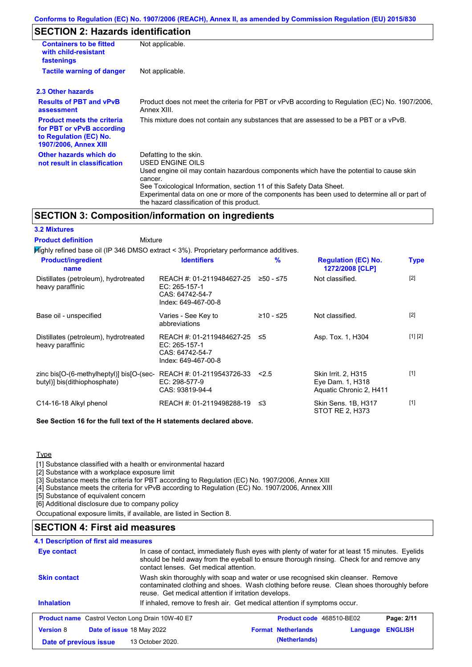### **SECTION 2: Hazards identification**

| <b>Containers to be fitted</b><br>with child-resistant<br>fastenings                                                     | Not applicable.                                                                                                                                                                                                                                                                                                                                                        |
|--------------------------------------------------------------------------------------------------------------------------|------------------------------------------------------------------------------------------------------------------------------------------------------------------------------------------------------------------------------------------------------------------------------------------------------------------------------------------------------------------------|
| <b>Tactile warning of danger</b>                                                                                         | Not applicable.                                                                                                                                                                                                                                                                                                                                                        |
| 2.3 Other hazards                                                                                                        |                                                                                                                                                                                                                                                                                                                                                                        |
| <b>Results of PBT and vPvB</b><br>assessment                                                                             | Product does not meet the criteria for PBT or vPvB according to Regulation (EC) No. 1907/2006,<br>Annex XIII.                                                                                                                                                                                                                                                          |
| <b>Product meets the criteria</b><br>for PBT or vPvB according<br>to Regulation (EC) No.<br><b>1907/2006, Annex XIII</b> | This mixture does not contain any substances that are assessed to be a PBT or a vPvB.                                                                                                                                                                                                                                                                                  |
| Other hazards which do<br>not result in classification                                                                   | Defatting to the skin.<br>USED ENGINE OILS<br>Used engine oil may contain hazardous components which have the potential to cause skin<br>cancer.<br>See Toxicological Information, section 11 of this Safety Data Sheet.<br>Experimental data on one or more of the components has been used to determine all or part of<br>the hazard classification of this product. |

### **SECTION 3: Composition/information on ingredients**

| <b>3.2 Mixtures</b>                                                                    |                                                                                      |               |                                                                    |             |
|----------------------------------------------------------------------------------------|--------------------------------------------------------------------------------------|---------------|--------------------------------------------------------------------|-------------|
| <b>Product definition</b><br>Mixture                                                   |                                                                                      |               |                                                                    |             |
| Mighly refined base oil (IP 346 DMSO extract < 3%). Proprietary performance additives. |                                                                                      |               |                                                                    |             |
| <b>Product/ingredient</b><br>name                                                      | <b>Identifiers</b>                                                                   | $\frac{9}{6}$ | <b>Regulation (EC) No.</b><br>1272/2008 [CLP]                      | <b>Type</b> |
| Distillates (petroleum), hydrotreated<br>heavy paraffinic                              | REACH #: 01-2119484627-25<br>EC: 265-157-1<br>CAS: 64742-54-7<br>Index: 649-467-00-8 | $≥50 - ≤75$   | Not classified.                                                    | [2]         |
| Base oil - unspecified                                                                 | Varies - See Key to<br>abbreviations                                                 | ≥10 - ≤25     | Not classified.                                                    | $[2]$       |
| Distillates (petroleum), hydrotreated<br>heavy paraffinic                              | REACH #: 01-2119484627-25<br>EC: 265-157-1<br>CAS: 64742-54-7<br>Index: 649-467-00-8 | ≤5            | Asp. Tox. 1, H304                                                  | [1] [2]     |
| zinc bis[O-(6-methylheptyl)] bis[O-(sec-<br>butyl)] bis(dithiophosphate)               | REACH #: 01-2119543726-33<br>EC: 298-577-9<br>CAS: 93819-94-4                        | < 2.5         | Skin Irrit. 2, H315<br>Eye Dam. 1, H318<br>Aquatic Chronic 2, H411 | [1]         |
| C14-16-18 Alkyl phenol                                                                 | REACH #: 01-2119498288-19                                                            | ב≥            | Skin Sens. 1B, H317<br>STOT RE 2, H373                             | $[1]$       |

**See Section 16 for the full text of the H statements declared above.**

**Type** 

[1] Substance classified with a health or environmental hazard

[2] Substance with a workplace exposure limit

[3] Substance meets the criteria for PBT according to Regulation (EC) No. 1907/2006, Annex XIII

[4] Substance meets the criteria for vPvB according to Regulation (EC) No. 1907/2006, Annex XIII

[5] Substance of equivalent concern

[6] Additional disclosure due to company policy

Occupational exposure limits, if available, are listed in Section 8.

### **SECTION 4: First aid measures**

#### In case of contact, immediately flush eyes with plenty of water for at least 15 minutes. Eyelids should be held away from the eyeball to ensure thorough rinsing. Check for and remove any contact lenses. Get medical attention. **4.1 Description of first aid measures Inhalation** If inhaled, remove to fresh air. Get medical attention if symptoms occur. **Eye contact Skin contact** Wash skin thoroughly with soap and water or use recognised skin cleanser. Remove contaminated clothing and shoes. Wash clothing before reuse. Clean shoes thoroughly before reuse. Get medical attention if irritation develops. **Product name** Castrol Vecton Long Drain 10W-40 E7 **Product Code** 468510-BE02 **Page: 2/11 Version** 8 **Date of issue** 18 May 2022 **Format Netherlands Language ENGLISH Date of previous issue 13 October 2020. (Netherlands)**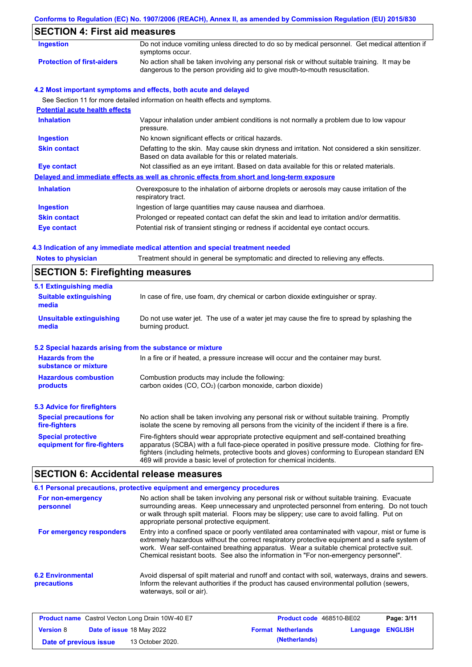# **Conforms to Regulation (EC) No. 1907/2006 (REACH), Annex II, as amended by Commission Regulation (EU) 2015/830 SECTION 4: First aid measures**

| <b>Ingestion</b>                      | Do not induce vomiting unless directed to do so by medical personnel. Get medical attention if<br>symptoms occur.                                                           |
|---------------------------------------|-----------------------------------------------------------------------------------------------------------------------------------------------------------------------------|
| <b>Protection of first-aiders</b>     | No action shall be taken involving any personal risk or without suitable training. It may be<br>dangerous to the person providing aid to give mouth-to-mouth resuscitation. |
|                                       | 4.2 Most important symptoms and effects, both acute and delayed                                                                                                             |
|                                       | See Section 11 for more detailed information on health effects and symptoms.                                                                                                |
| <b>Potential acute health effects</b> |                                                                                                                                                                             |
| <b>Inhalation</b>                     | Vapour inhalation under ambient conditions is not normally a problem due to low vapour<br>pressure.                                                                         |
| <b>Ingestion</b>                      | No known significant effects or critical hazards.                                                                                                                           |
| <b>Skin contact</b>                   | Defatting to the skin. May cause skin dryness and irritation. Not considered a skin sensitizer.<br>Based on data available for this or related materials.                   |
| <b>Eye contact</b>                    | Not classified as an eye irritant. Based on data available for this or related materials.                                                                                   |
|                                       | Delayed and immediate effects as well as chronic effects from short and long-term exposure                                                                                  |
| <b>Inhalation</b>                     | Overexposure to the inhalation of airborne droplets or aerosols may cause irritation of the<br>respiratory tract.                                                           |
| <b>Ingestion</b>                      | Ingestion of large quantities may cause nausea and diarrhoea.                                                                                                               |
| <b>Skin contact</b>                   | Prolonged or repeated contact can defat the skin and lead to irritation and/or dermatitis.                                                                                  |

**Eye contact** Potential risk of transient stinging or redness if accidental eye contact occurs.

### **4.3 Indication of any immediate medical attention and special treatment needed**

| <b>Notes to physician</b>                                 | Treatment should in general be symptomatic and directed to relieving any effects.                                                                                                                                                                                                                                                                                 |  |  |  |  |
|-----------------------------------------------------------|-------------------------------------------------------------------------------------------------------------------------------------------------------------------------------------------------------------------------------------------------------------------------------------------------------------------------------------------------------------------|--|--|--|--|
|                                                           | <b>SECTION 5: Firefighting measures</b>                                                                                                                                                                                                                                                                                                                           |  |  |  |  |
| 5.1 Extinguishing media                                   |                                                                                                                                                                                                                                                                                                                                                                   |  |  |  |  |
| <b>Suitable extinguishing</b><br>media                    | In case of fire, use foam, dry chemical or carbon dioxide extinguisher or spray.                                                                                                                                                                                                                                                                                  |  |  |  |  |
| <b>Unsuitable extinguishing</b><br>media                  | Do not use water jet. The use of a water jet may cause the fire to spread by splashing the<br>burning product.                                                                                                                                                                                                                                                    |  |  |  |  |
| 5.2 Special hazards arising from the substance or mixture |                                                                                                                                                                                                                                                                                                                                                                   |  |  |  |  |
| <b>Hazards from the</b><br>substance or mixture           | In a fire or if heated, a pressure increase will occur and the container may burst.                                                                                                                                                                                                                                                                               |  |  |  |  |
| <b>Hazardous combustion</b>                               | Combustion products may include the following:                                                                                                                                                                                                                                                                                                                    |  |  |  |  |
| products                                                  | carbon oxides (CO, CO <sub>2</sub> ) (carbon monoxide, carbon dioxide)                                                                                                                                                                                                                                                                                            |  |  |  |  |
| 5.3 Advice for firefighters                               |                                                                                                                                                                                                                                                                                                                                                                   |  |  |  |  |
| <b>Special precautions for</b><br>fire-fighters           | No action shall be taken involving any personal risk or without suitable training. Promptly<br>isolate the scene by removing all persons from the vicinity of the incident if there is a fire.                                                                                                                                                                    |  |  |  |  |
| <b>Special protective</b><br>equipment for fire-fighters  | Fire-fighters should wear appropriate protective equipment and self-contained breathing<br>apparatus (SCBA) with a full face-piece operated in positive pressure mode. Clothing for fire-<br>fighters (including helmets, protective boots and gloves) conforming to European standard EN<br>469 will provide a basic level of protection for chemical incidents. |  |  |  |  |

## **SECTION 6: Accidental release measures**

|                                         | 6.1 Personal precautions, protective equipment and emergency procedures                                                                                                                                                                                                                                                                                                              |
|-----------------------------------------|--------------------------------------------------------------------------------------------------------------------------------------------------------------------------------------------------------------------------------------------------------------------------------------------------------------------------------------------------------------------------------------|
| For non-emergency<br>personnel          | No action shall be taken involving any personal risk or without suitable training. Evacuate<br>surrounding areas. Keep unnecessary and unprotected personnel from entering. Do not touch<br>or walk through spilt material. Floors may be slippery; use care to avoid falling. Put on<br>appropriate personal protective equipment.                                                  |
| For emergency responders                | Entry into a confined space or poorly ventilated area contaminated with vapour, mist or fume is<br>extremely hazardous without the correct respiratory protective equipment and a safe system of<br>work. Wear self-contained breathing apparatus. Wear a suitable chemical protective suit.<br>Chemical resistant boots. See also the information in "For non-emergency personnel". |
| <b>6.2 Environmental</b><br>precautions | Avoid dispersal of spilt material and runoff and contact with soil, waterways, drains and sewers.<br>Inform the relevant authorities if the product has caused environmental pollution (sewers,<br>waterways, soil or air).                                                                                                                                                          |

| <b>Product name</b> Castrol Vecton Long Drain 10W-40 E7 |  | <b>Product code</b> 468510-BE02  |  | Page: 3/11                |                         |  |
|---------------------------------------------------------|--|----------------------------------|--|---------------------------|-------------------------|--|
| <b>Version 8</b>                                        |  | <b>Date of issue 18 May 2022</b> |  | <b>Format Netherlands</b> | <b>Language ENGLISH</b> |  |
| Date of previous issue                                  |  | 13 October 2020.                 |  | (Netherlands)             |                         |  |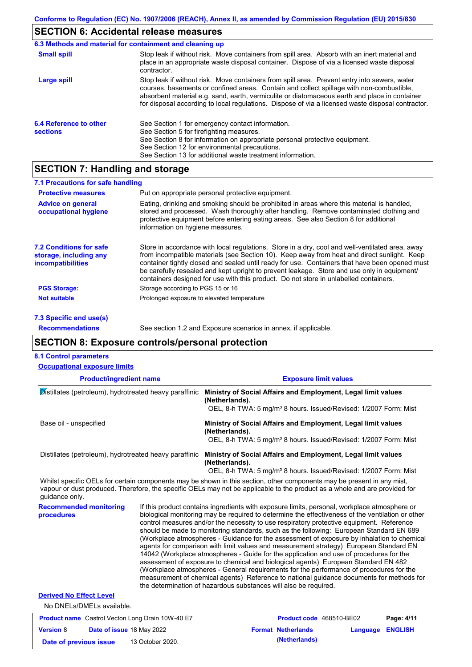### **SECTION 6: Accidental release measures**

|                                           | 6.3 Methods and material for containment and cleaning up                                                                                                                                                                                                                                                                                                                                       |
|-------------------------------------------|------------------------------------------------------------------------------------------------------------------------------------------------------------------------------------------------------------------------------------------------------------------------------------------------------------------------------------------------------------------------------------------------|
| <b>Small spill</b>                        | Stop leak if without risk. Move containers from spill area. Absorb with an inert material and<br>place in an appropriate waste disposal container. Dispose of via a licensed waste disposal<br>contractor.                                                                                                                                                                                     |
| Large spill                               | Stop leak if without risk. Move containers from spill area. Prevent entry into sewers, water<br>courses, basements or confined areas. Contain and collect spillage with non-combustible,<br>absorbent material e.g. sand, earth, vermiculite or diatomaceous earth and place in container<br>for disposal according to local regulations. Dispose of via a licensed waste disposal contractor. |
| 6.4 Reference to other<br><b>sections</b> | See Section 1 for emergency contact information.<br>See Section 5 for firefighting measures.<br>See Section 8 for information on appropriate personal protective equipment.<br>See Section 12 for environmental precautions.<br>See Section 13 for additional waste treatment information.                                                                                                     |

### **SECTION 7: Handling and storage**

| 7.1 Precautions for safe handling                                                    |                                                                                                                                                                                                                                                                                                                                                                                                                                                                                          |
|--------------------------------------------------------------------------------------|------------------------------------------------------------------------------------------------------------------------------------------------------------------------------------------------------------------------------------------------------------------------------------------------------------------------------------------------------------------------------------------------------------------------------------------------------------------------------------------|
| <b>Protective measures</b>                                                           | Put on appropriate personal protective equipment.                                                                                                                                                                                                                                                                                                                                                                                                                                        |
| <b>Advice on general</b><br>occupational hygiene                                     | Eating, drinking and smoking should be prohibited in areas where this material is handled,<br>stored and processed. Wash thoroughly after handling. Remove contaminated clothing and<br>protective equipment before entering eating areas. See also Section 8 for additional<br>information on hygiene measures.                                                                                                                                                                         |
| <b>7.2 Conditions for safe</b><br>storage, including any<br><b>incompatibilities</b> | Store in accordance with local regulations. Store in a dry, cool and well-ventilated area, away<br>from incompatible materials (see Section 10). Keep away from heat and direct sunlight. Keep<br>container tightly closed and sealed until ready for use. Containers that have been opened must<br>be carefully resealed and kept upright to prevent leakage. Store and use only in equipment/<br>containers designed for use with this product. Do not store in unlabelled containers. |
| <b>PGS Storage:</b>                                                                  | Storage according to PGS 15 or 16                                                                                                                                                                                                                                                                                                                                                                                                                                                        |
| <b>Not suitable</b>                                                                  | Prolonged exposure to elevated temperature                                                                                                                                                                                                                                                                                                                                                                                                                                               |

**7.3 Specific end use(s)**

**Recommendations**

See section 1.2 and Exposure scenarios in annex, if applicable.

### **SECTION 8: Exposure controls/personal protection**

#### **Product/ingredient name Exposure limit values Recommended monitoring procedures** If this product contains ingredients with exposure limits, personal, workplace atmosphere or biological monitoring may be required to determine the effectiveness of the ventilation or other control measures and/or the necessity to use respiratory protective equipment. Reference should be made to monitoring standards, such as the following: European Standard EN 689 (Workplace atmospheres - Guidance for the assessment of exposure by inhalation to chemical agents for comparison with limit values and measurement strategy) European Standard EN 14042 (Workplace atmospheres - Guide for the application and use of procedures for the assessment of exposure to chemical and biological agents) European Standard EN 482 (Workplace atmospheres - General requirements for the performance of procedures for the measurement of chemical agents) Reference to national guidance documents for methods for the determination of hazardous substances will also be required. No DNELs/DMELs available. **8.1 Control parameters Derived No Effect Level** Whilst specific OELs for certain components may be shown in this section, other components may be present in any mist. vapour or dust produced. Therefore, the specific OELs may not be applicable to the product as a whole and are provided for guidance only. **Occupational exposure limits** Distillates (petroleum), hydrotreated heavy paraffinic **Ministry of Social Affairs and Employment, Legal limit values (Netherlands).** OEL, 8-h TWA: 5 mg/m<sup>3</sup> 8 hours. Issued/Revised: 1/2007 Form: Mist Base oil - unspecified **Ministry of Social Affairs and Employment, Legal limit values (Netherlands).** OEL, 8-h TWA: 5 mg/m<sup>3</sup> 8 hours. Issued/Revised: 1/2007 Form: Mist Distillates (petroleum), hydrotreated heavy paraffinic **Ministry of Social Affairs and Employment, Legal limit values (Netherlands).** OEL, 8-h TWA: 5 mg/m<sup>3</sup> 8 hours. Issued/Revised: 1/2007 Form: Mist

| <b>Product name</b> Castrol Vecton Long Drain 10W-40 E7 |                                  | <b>Product code</b> 468510-BE02 |  | Page: 4/11                |                  |  |
|---------------------------------------------------------|----------------------------------|---------------------------------|--|---------------------------|------------------|--|
| <b>Version 8</b>                                        | <b>Date of issue 18 May 2022</b> |                                 |  | <b>Format Netherlands</b> | Language ENGLISH |  |
| Date of previous issue                                  |                                  | 13 October 2020.                |  | (Netherlands)             |                  |  |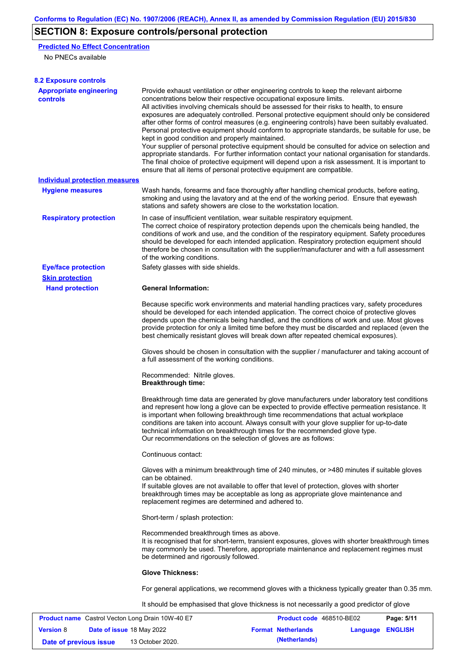## **SECTION 8: Exposure controls/personal protection**

### **Predicted No Effect Concentration**

No PNECs available

| <b>8.2 Exposure controls</b>                            |                                                                                                                        |                                                                                                                                                                                                                                                                                                                                                                                                                                                                                                                                                                                                                                                                                                                                                                                                                                                                               |            |
|---------------------------------------------------------|------------------------------------------------------------------------------------------------------------------------|-------------------------------------------------------------------------------------------------------------------------------------------------------------------------------------------------------------------------------------------------------------------------------------------------------------------------------------------------------------------------------------------------------------------------------------------------------------------------------------------------------------------------------------------------------------------------------------------------------------------------------------------------------------------------------------------------------------------------------------------------------------------------------------------------------------------------------------------------------------------------------|------------|
| <b>Appropriate engineering</b><br>controls              | concentrations below their respective occupational exposure limits.<br>kept in good condition and properly maintained. | Provide exhaust ventilation or other engineering controls to keep the relevant airborne<br>All activities involving chemicals should be assessed for their risks to health, to ensure<br>exposures are adequately controlled. Personal protective equipment should only be considered<br>after other forms of control measures (e.g. engineering controls) have been suitably evaluated.<br>Personal protective equipment should conform to appropriate standards, be suitable for use, be<br>Your supplier of personal protective equipment should be consulted for advice on selection and<br>appropriate standards. For further information contact your national organisation for standards.<br>The final choice of protective equipment will depend upon a risk assessment. It is important to<br>ensure that all items of personal protective equipment are compatible. |            |
| <b>Individual protection measures</b>                   |                                                                                                                        |                                                                                                                                                                                                                                                                                                                                                                                                                                                                                                                                                                                                                                                                                                                                                                                                                                                                               |            |
| <b>Hygiene measures</b>                                 | stations and safety showers are close to the workstation location.                                                     | Wash hands, forearms and face thoroughly after handling chemical products, before eating,<br>smoking and using the lavatory and at the end of the working period. Ensure that eyewash                                                                                                                                                                                                                                                                                                                                                                                                                                                                                                                                                                                                                                                                                         |            |
| <b>Respiratory protection</b>                           | of the working conditions.                                                                                             | In case of insufficient ventilation, wear suitable respiratory equipment.<br>The correct choice of respiratory protection depends upon the chemicals being handled, the<br>conditions of work and use, and the condition of the respiratory equipment. Safety procedures<br>should be developed for each intended application. Respiratory protection equipment should<br>therefore be chosen in consultation with the supplier/manufacturer and with a full assessment                                                                                                                                                                                                                                                                                                                                                                                                       |            |
| <b>Eye/face protection</b>                              | Safety glasses with side shields.                                                                                      |                                                                                                                                                                                                                                                                                                                                                                                                                                                                                                                                                                                                                                                                                                                                                                                                                                                                               |            |
| <b>Skin protection</b>                                  |                                                                                                                        |                                                                                                                                                                                                                                                                                                                                                                                                                                                                                                                                                                                                                                                                                                                                                                                                                                                                               |            |
| <b>Hand protection</b>                                  | <b>General Information:</b>                                                                                            |                                                                                                                                                                                                                                                                                                                                                                                                                                                                                                                                                                                                                                                                                                                                                                                                                                                                               |            |
|                                                         |                                                                                                                        | Because specific work environments and material handling practices vary, safety procedures<br>should be developed for each intended application. The correct choice of protective gloves<br>depends upon the chemicals being handled, and the conditions of work and use. Most gloves<br>provide protection for only a limited time before they must be discarded and replaced (even the<br>best chemically resistant gloves will break down after repeated chemical exposures).                                                                                                                                                                                                                                                                                                                                                                                              |            |
|                                                         | a full assessment of the working conditions.                                                                           | Gloves should be chosen in consultation with the supplier / manufacturer and taking account of                                                                                                                                                                                                                                                                                                                                                                                                                                                                                                                                                                                                                                                                                                                                                                                |            |
|                                                         | Recommended: Nitrile gloves.<br><b>Breakthrough time:</b>                                                              |                                                                                                                                                                                                                                                                                                                                                                                                                                                                                                                                                                                                                                                                                                                                                                                                                                                                               |            |
|                                                         | Our recommendations on the selection of gloves are as follows:                                                         | Breakthrough time data are generated by glove manufacturers under laboratory test conditions<br>and represent how long a glove can be expected to provide effective permeation resistance. It<br>is important when following breakthrough time recommendations that actual workplace<br>conditions are taken into account. Always consult with your glove supplier for up-to-date<br>technical information on breakthrough times for the recommended glove type.                                                                                                                                                                                                                                                                                                                                                                                                              |            |
|                                                         | Continuous contact:                                                                                                    |                                                                                                                                                                                                                                                                                                                                                                                                                                                                                                                                                                                                                                                                                                                                                                                                                                                                               |            |
|                                                         | can be obtained.<br>replacement regimes are determined and adhered to.                                                 | Gloves with a minimum breakthrough time of 240 minutes, or >480 minutes if suitable gloves<br>If suitable gloves are not available to offer that level of protection, gloves with shorter<br>breakthrough times may be acceptable as long as appropriate glove maintenance and                                                                                                                                                                                                                                                                                                                                                                                                                                                                                                                                                                                                |            |
|                                                         | Short-term / splash protection:                                                                                        |                                                                                                                                                                                                                                                                                                                                                                                                                                                                                                                                                                                                                                                                                                                                                                                                                                                                               |            |
|                                                         | Recommended breakthrough times as above.<br>be determined and rigorously followed.                                     | It is recognised that for short-term, transient exposures, gloves with shorter breakthrough times<br>may commonly be used. Therefore, appropriate maintenance and replacement regimes must                                                                                                                                                                                                                                                                                                                                                                                                                                                                                                                                                                                                                                                                                    |            |
|                                                         | <b>Glove Thickness:</b>                                                                                                |                                                                                                                                                                                                                                                                                                                                                                                                                                                                                                                                                                                                                                                                                                                                                                                                                                                                               |            |
|                                                         |                                                                                                                        | For general applications, we recommend gloves with a thickness typically greater than 0.35 mm.                                                                                                                                                                                                                                                                                                                                                                                                                                                                                                                                                                                                                                                                                                                                                                                |            |
|                                                         |                                                                                                                        | It should be emphasised that glove thickness is not necessarily a good predictor of glove                                                                                                                                                                                                                                                                                                                                                                                                                                                                                                                                                                                                                                                                                                                                                                                     |            |
| <b>Product name</b> Castrol Vecton Long Drain 10W-40 E7 |                                                                                                                        | Product code 468510-BE02                                                                                                                                                                                                                                                                                                                                                                                                                                                                                                                                                                                                                                                                                                                                                                                                                                                      | Page: 5/11 |

|                        |                                  |                  |                           |                  | --------- |
|------------------------|----------------------------------|------------------|---------------------------|------------------|-----------|
| <b>Version 8</b>       | <b>Date of issue 18 May 2022</b> |                  | <b>Format Netherlands</b> | Language ENGLISH |           |
| Date of previous issue |                                  | 13 October 2020. | (Netherlands)             |                  |           |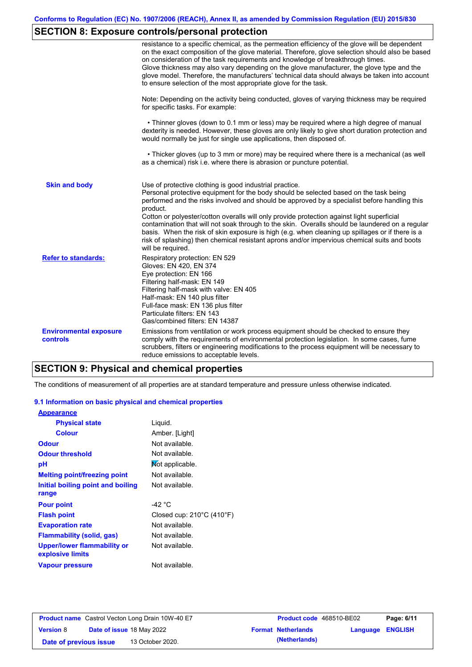## **SECTION 8: Exposure controls/personal protection**

|                                                  | resistance to a specific chemical, as the permeation efficiency of the glove will be dependent<br>on the exact composition of the glove material. Therefore, glove selection should also be based<br>on consideration of the task requirements and knowledge of breakthrough times.<br>Glove thickness may also vary depending on the glove manufacturer, the glove type and the<br>glove model. Therefore, the manufacturers' technical data should always be taken into account<br>to ensure selection of the most appropriate glove for the task.                                                                                                                                  |
|--------------------------------------------------|---------------------------------------------------------------------------------------------------------------------------------------------------------------------------------------------------------------------------------------------------------------------------------------------------------------------------------------------------------------------------------------------------------------------------------------------------------------------------------------------------------------------------------------------------------------------------------------------------------------------------------------------------------------------------------------|
|                                                  | Note: Depending on the activity being conducted, gloves of varying thickness may be required<br>for specific tasks. For example:                                                                                                                                                                                                                                                                                                                                                                                                                                                                                                                                                      |
|                                                  | • Thinner gloves (down to 0.1 mm or less) may be required where a high degree of manual<br>dexterity is needed. However, these gloves are only likely to give short duration protection and<br>would normally be just for single use applications, then disposed of.                                                                                                                                                                                                                                                                                                                                                                                                                  |
|                                                  | • Thicker gloves (up to 3 mm or more) may be required where there is a mechanical (as well<br>as a chemical) risk i.e. where there is abrasion or puncture potential.                                                                                                                                                                                                                                                                                                                                                                                                                                                                                                                 |
| <b>Skin and body</b>                             | Use of protective clothing is good industrial practice.<br>Personal protective equipment for the body should be selected based on the task being<br>performed and the risks involved and should be approved by a specialist before handling this<br>product.<br>Cotton or polyester/cotton overalls will only provide protection against light superficial<br>contamination that will not soak through to the skin. Overalls should be laundered on a regular<br>basis. When the risk of skin exposure is high (e.g. when cleaning up spillages or if there is a<br>risk of splashing) then chemical resistant aprons and/or impervious chemical suits and boots<br>will be required. |
| <b>Refer to standards:</b>                       | Respiratory protection: EN 529<br>Gloves: EN 420, EN 374<br>Eye protection: EN 166<br>Filtering half-mask: EN 149<br>Filtering half-mask with valve: EN 405<br>Half-mask: EN 140 plus filter<br>Full-face mask: EN 136 plus filter<br>Particulate filters: EN 143<br>Gas/combined filters: EN 14387                                                                                                                                                                                                                                                                                                                                                                                   |
| <b>Environmental exposure</b><br><b>controls</b> | Emissions from ventilation or work process equipment should be checked to ensure they<br>comply with the requirements of environmental protection legislation. In some cases, fume<br>scrubbers, filters or engineering modifications to the process equipment will be necessary to<br>reduce emissions to acceptable levels.                                                                                                                                                                                                                                                                                                                                                         |

## **SECTION 9: Physical and chemical properties**

The conditions of measurement of all properties are at standard temperature and pressure unless otherwise indicated.

### **9.1 Information on basic physical and chemical properties**

| <b>Appearance</b>                               |                                                |
|-------------------------------------------------|------------------------------------------------|
| <b>Physical state</b>                           | Liquid.                                        |
| <b>Colour</b>                                   | Amber. [Light]                                 |
| <b>Odour</b>                                    | Not available.                                 |
| <b>Odour threshold</b>                          | Not available.                                 |
| рH                                              | Mot applicable.                                |
| <b>Melting point/freezing point</b>             | Not available.                                 |
| Initial boiling point and boiling               | Not available.                                 |
| range                                           |                                                |
| <b>Pour point</b>                               | -42 °C                                         |
| <b>Flash point</b>                              | Closed cup: $210^{\circ}$ C (410 $^{\circ}$ F) |
| <b>Evaporation rate</b>                         | Not available.                                 |
| Flammability (solid, gas)                       | Not available.                                 |
| Upper/lower flammability or<br>explosive limits | Not available.                                 |
| <b>Vapour pressure</b>                          | Not available.                                 |

| <b>Product name</b> Castrol Vecton Long Drain 10W-40 E7 |                                  |                  | <b>Product code</b> 468510-BE02 |                           | Page: 6/11              |  |
|---------------------------------------------------------|----------------------------------|------------------|---------------------------------|---------------------------|-------------------------|--|
| <b>Version 8</b>                                        | <b>Date of issue 18 May 2022</b> |                  |                                 | <b>Format Netherlands</b> | <b>Language ENGLISH</b> |  |
| Date of previous issue                                  |                                  | 13 October 2020. |                                 | (Netherlands)             |                         |  |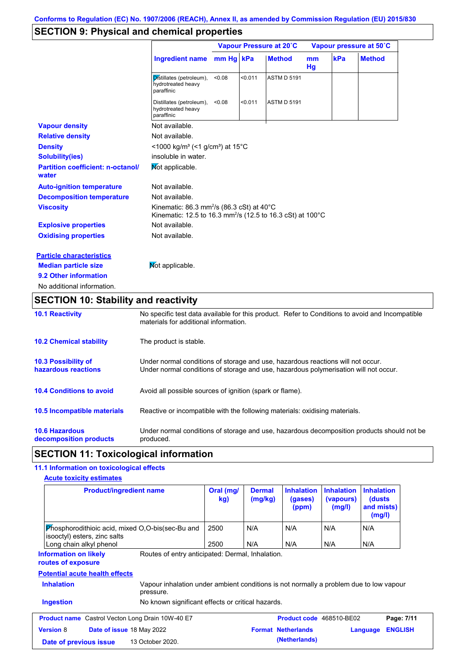## **SECTION 9: Physical and chemical properties**

|                                                   |                                                                                                                                             |        |         | Vapour Pressure at 20°C |          | Vapour pressure at 50°C |               |  |
|---------------------------------------------------|---------------------------------------------------------------------------------------------------------------------------------------------|--------|---------|-------------------------|----------|-------------------------|---------------|--|
|                                                   | Ingredient name mm Hg kPa                                                                                                                   |        |         | <b>Method</b>           | mm<br>Hg | kPa                     | <b>Method</b> |  |
|                                                   | Distillates (petroleum),<br>hydrotreated heavy<br>paraffinic                                                                                | < 0.08 | < 0.011 | <b>ASTM D 5191</b>      |          |                         |               |  |
|                                                   | Distillates (petroleum),<br>hydrotreated heavy<br>paraffinic                                                                                | < 0.08 | < 0.011 | <b>ASTM D 5191</b>      |          |                         |               |  |
| <b>Vapour density</b>                             | Not available.                                                                                                                              |        |         |                         |          |                         |               |  |
| <b>Relative density</b>                           | Not available.                                                                                                                              |        |         |                         |          |                         |               |  |
| <b>Density</b>                                    | <1000 kg/m <sup>3</sup> (<1 g/cm <sup>3</sup> ) at 15 <sup>°</sup> C                                                                        |        |         |                         |          |                         |               |  |
| <b>Solubility(ies)</b>                            | insoluble in water.                                                                                                                         |        |         |                         |          |                         |               |  |
| <b>Partition coefficient: n-octanol/</b><br>water | Mot applicable.                                                                                                                             |        |         |                         |          |                         |               |  |
| <b>Auto-ignition temperature</b>                  | Not available.                                                                                                                              |        |         |                         |          |                         |               |  |
| <b>Decomposition temperature</b>                  | Not available.                                                                                                                              |        |         |                         |          |                         |               |  |
| <b>Viscosity</b>                                  | Kinematic: 86.3 mm <sup>2</sup> /s (86.3 cSt) at 40 $^{\circ}$ C<br>Kinematic: 12.5 to 16.3 mm <sup>2</sup> /s (12.5 to 16.3 cSt) at 100 °C |        |         |                         |          |                         |               |  |
| <b>Explosive properties</b>                       | Not available.                                                                                                                              |        |         |                         |          |                         |               |  |
| <b>Oxidising properties</b>                       | Not available.                                                                                                                              |        |         |                         |          |                         |               |  |
| <b>Particle characteristics</b>                   |                                                                                                                                             |        |         |                         |          |                         |               |  |
| <b>Median particle size</b>                       | Mot applicable.                                                                                                                             |        |         |                         |          |                         |               |  |
| 9.2 Other information                             |                                                                                                                                             |        |         |                         |          |                         |               |  |
| No additional information.                        |                                                                                                                                             |        |         |                         |          |                         |               |  |

## **SECTION 10: Stability and reactivity**

| <b>10.1 Reactivity</b>                            | No specific test data available for this product. Refer to Conditions to avoid and Incompatible<br>materials for additional information.                                |
|---------------------------------------------------|-------------------------------------------------------------------------------------------------------------------------------------------------------------------------|
| <b>10.2 Chemical stability</b>                    | The product is stable.                                                                                                                                                  |
| <b>10.3 Possibility of</b><br>hazardous reactions | Under normal conditions of storage and use, hazardous reactions will not occur.<br>Under normal conditions of storage and use, hazardous polymerisation will not occur. |
| <b>10.4 Conditions to avoid</b>                   | Avoid all possible sources of ignition (spark or flame).                                                                                                                |
| 10.5 Incompatible materials                       | Reactive or incompatible with the following materials: oxidising materials.                                                                                             |
| <b>10.6 Hazardous</b><br>decomposition products   | Under normal conditions of storage and use, hazardous decomposition products should not be<br>produced.                                                                 |

## **SECTION 11: Toxicological information**

### **11.1 Information on toxicological effects**

| <b>Acute toxicity estimates</b><br><b>Product/ingredient name</b>                                                        | Oral (mg/<br>kg) | <b>Dermal</b><br>(mg/kg) | <b>Inhalation</b><br>(gases)<br>(ppm) | <b>Inhalation</b><br>(vapours)<br>(mg/l) | <b>Inhalation</b><br>(dusts)<br>and mists)<br>(mg/l) |                |
|--------------------------------------------------------------------------------------------------------------------------|------------------|--------------------------|---------------------------------------|------------------------------------------|------------------------------------------------------|----------------|
| Phosphorodithioic acid, mixed O,O-bis(sec-Bu and<br>isooctyl) esters, zinc salts<br>Long chain alkyl phenol              | 2500<br>2500     | N/A<br>N/A               | N/A<br>N/A                            | N/A<br>N/A                               | N/A<br>N/A                                           |                |
| Routes of entry anticipated: Dermal, Inhalation.<br>Information on likely<br>routes of exposure                          |                  |                          |                                       |                                          |                                                      |                |
| <b>Potential acute health effects</b>                                                                                    |                  |                          |                                       |                                          |                                                      |                |
| <b>Inhalation</b><br>Vapour inhalation under ambient conditions is not normally a problem due to low vapour<br>pressure. |                  |                          |                                       |                                          |                                                      |                |
| <b>Ingestion</b><br>No known significant effects or critical hazards.                                                    |                  |                          |                                       |                                          |                                                      |                |
| <b>Product name</b> Castrol Vecton Long Drain 10W-40 E7                                                                  |                  |                          | Product code 468510-BE02              |                                          |                                                      | Page: 7/11     |
| <b>Version 8</b><br>Date of issue 18 May 2022                                                                            |                  |                          | <b>Format Netherlands</b>             |                                          | Language                                             | <b>ENGLISH</b> |
| 13 October 2020.<br>Date of previous issue                                                                               |                  |                          | (Netherlands)                         |                                          |                                                      |                |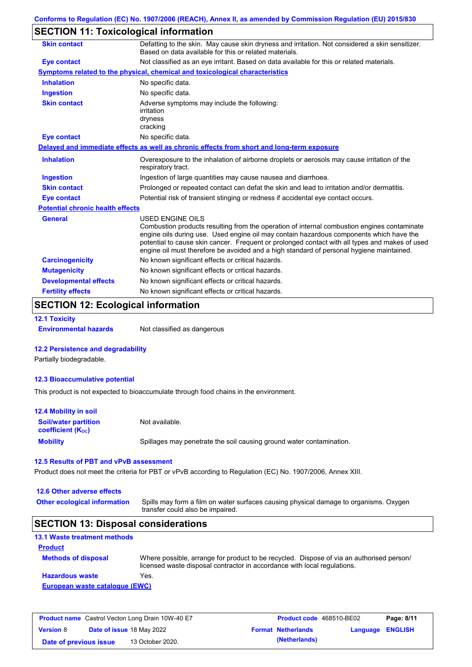## **SECTION 11: Toxicological information**

| <b>Skin contact</b>                     | Defatting to the skin. May cause skin dryness and irritation. Not considered a skin sensitizer.<br>Based on data available for this or related materials.                                                                                                                                                                                                                                                       |
|-----------------------------------------|-----------------------------------------------------------------------------------------------------------------------------------------------------------------------------------------------------------------------------------------------------------------------------------------------------------------------------------------------------------------------------------------------------------------|
| Eye contact                             | Not classified as an eye irritant. Based on data available for this or related materials.                                                                                                                                                                                                                                                                                                                       |
|                                         | Symptoms related to the physical, chemical and toxicological characteristics                                                                                                                                                                                                                                                                                                                                    |
| <b>Inhalation</b>                       | No specific data.                                                                                                                                                                                                                                                                                                                                                                                               |
| <b>Ingestion</b>                        | No specific data.                                                                                                                                                                                                                                                                                                                                                                                               |
| <b>Skin contact</b>                     | Adverse symptoms may include the following:<br>irritation<br>dryness<br>cracking                                                                                                                                                                                                                                                                                                                                |
| <b>Eye contact</b>                      | No specific data.                                                                                                                                                                                                                                                                                                                                                                                               |
|                                         | Delayed and immediate effects as well as chronic effects from short and long-term exposure                                                                                                                                                                                                                                                                                                                      |
| <b>Inhalation</b>                       | Overexposure to the inhalation of airborne droplets or aerosols may cause irritation of the<br>respiratory tract.                                                                                                                                                                                                                                                                                               |
| <b>Ingestion</b>                        | Ingestion of large quantities may cause nausea and diarrhoea.                                                                                                                                                                                                                                                                                                                                                   |
| <b>Skin contact</b>                     | Prolonged or repeated contact can defat the skin and lead to irritation and/or dermatitis.                                                                                                                                                                                                                                                                                                                      |
| Eye contact                             | Potential risk of transient stinging or redness if accidental eye contact occurs.                                                                                                                                                                                                                                                                                                                               |
| <b>Potential chronic health effects</b> |                                                                                                                                                                                                                                                                                                                                                                                                                 |
| <b>General</b>                          | <b>USED ENGINE OILS</b><br>Combustion products resulting from the operation of internal combustion engines contaminate<br>engine oils during use. Used engine oil may contain hazardous components which have the<br>potential to cause skin cancer. Frequent or prolonged contact with all types and makes of used<br>engine oil must therefore be avoided and a high standard of personal hygiene maintained. |
| <b>Carcinogenicity</b>                  | No known significant effects or critical hazards.                                                                                                                                                                                                                                                                                                                                                               |
| <b>Mutagenicity</b>                     | No known significant effects or critical hazards.                                                                                                                                                                                                                                                                                                                                                               |
| <b>Developmental effects</b>            | No known significant effects or critical hazards.                                                                                                                                                                                                                                                                                                                                                               |
| <b>Fertility effects</b>                | No known significant effects or critical hazards.                                                                                                                                                                                                                                                                                                                                                               |

## **SECTION 12: Ecological information**

**12.1 Toxicity**

**Environmental hazards** Not classified as dangerous

#### **12.2 Persistence and degradability**

Partially biodegradable.

#### **12.3 Bioaccumulative potential**

This product is not expected to bioaccumulate through food chains in the environment.

| <b>12.4 Mobility in soil</b>                            |                                                                      |
|---------------------------------------------------------|----------------------------------------------------------------------|
| <b>Soil/water partition</b><br><b>coefficient (Koc)</b> | Not available.                                                       |
| <b>Mobility</b>                                         | Spillages may penetrate the soil causing ground water contamination. |

#### **12.5 Results of PBT and vPvB assessment**

Product does not meet the criteria for PBT or vPvB according to Regulation (EC) No. 1907/2006, Annex XIII.

### **12.6 Other adverse effects Other ecological information**

Spills may form a film on water surfaces causing physical damage to organisms. Oxygen transfer could also be impaired.

### **SECTION 13: Disposal considerations**

| <b>13.1 Waste treatment methods</b> |                                                                                                                                                                      |
|-------------------------------------|----------------------------------------------------------------------------------------------------------------------------------------------------------------------|
| <b>Product</b>                      |                                                                                                                                                                      |
| <b>Methods of disposal</b>          | Where possible, arrange for product to be recycled. Dispose of via an authorised person/<br>licensed waste disposal contractor in accordance with local regulations. |
| <b>Hazardous waste</b>              | Yes.                                                                                                                                                                 |
| European waste catalogue (EWC)      |                                                                                                                                                                      |

| <b>Product name</b> Castrol Vecton Long Drain 10W-40 E7 |  |                                  | <b>Product code</b> 468510-BE02 | Page: 8/11                |                  |  |
|---------------------------------------------------------|--|----------------------------------|---------------------------------|---------------------------|------------------|--|
| <b>Version 8</b>                                        |  | <b>Date of issue 18 May 2022</b> |                                 | <b>Format Netherlands</b> | Language ENGLISH |  |
| Date of previous issue                                  |  | 13 October 2020.                 |                                 | (Netherlands)             |                  |  |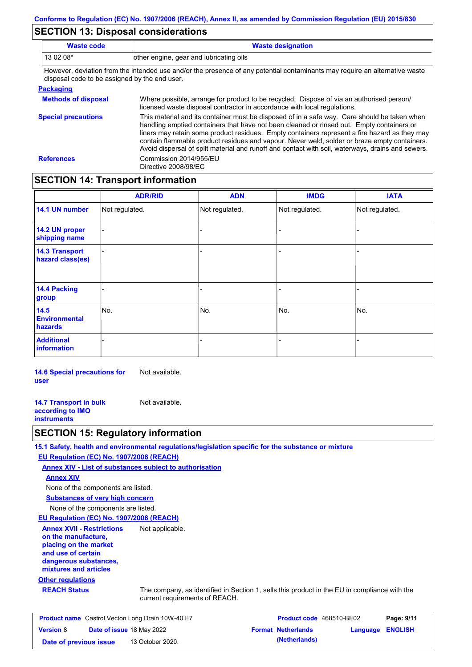### **SECTION 13: Disposal considerations**

| Waste code                                                                                                                                                                   | <b>Waste designation</b> |  |  |  |  |
|------------------------------------------------------------------------------------------------------------------------------------------------------------------------------|--------------------------|--|--|--|--|
| 13 02 08*<br>other engine, gear and lubricating oils                                                                                                                         |                          |  |  |  |  |
| However, deviation from the intended use and/or the presence of any potential contaminants may require an alternative waste<br>disposal code to be assigned by the end user. |                          |  |  |  |  |
| <u>Packaging</u>                                                                                                                                                             |                          |  |  |  |  |

| <b>Methods of disposal</b> | Where possible, arrange for product to be recycled. Dispose of via an authorised person/<br>licensed waste disposal contractor in accordance with local regulations.                                                                                                                                                                                                                                                                                                                            |
|----------------------------|-------------------------------------------------------------------------------------------------------------------------------------------------------------------------------------------------------------------------------------------------------------------------------------------------------------------------------------------------------------------------------------------------------------------------------------------------------------------------------------------------|
| <b>Special precautions</b> | This material and its container must be disposed of in a safe way. Care should be taken when<br>handling emptied containers that have not been cleaned or rinsed out. Empty containers or<br>liners may retain some product residues. Empty containers represent a fire hazard as they may<br>contain flammable product residues and vapour. Never weld, solder or braze empty containers.<br>Avoid dispersal of spilt material and runoff and contact with soil, waterways, drains and sewers. |
| <b>References</b>          | Commission 2014/955/EU<br>Directive 2008/98/EC                                                                                                                                                                                                                                                                                                                                                                                                                                                  |

## **SECTION 14: Transport information**

|                                           | <b>ADR/RID</b> | <b>ADN</b>     | <b>IMDG</b>    | <b>IATA</b>    |
|-------------------------------------------|----------------|----------------|----------------|----------------|
| 14.1 UN number                            | Not regulated. | Not regulated. | Not regulated. | Not regulated. |
| 14.2 UN proper<br>shipping name           |                |                | Ξ.             |                |
| <b>14.3 Transport</b><br>hazard class(es) |                |                | $\blacksquare$ |                |
| 14.4 Packing<br>group                     |                |                | -              |                |
| 14.5<br><b>Environmental</b><br>hazards   | No.            | No.            | No.            | No.            |
| <b>Additional</b><br><b>information</b>   |                |                |                |                |

**14.6 Special precautions for user** Not available.

**14.7 Transport in bulk according to IMO instruments** Not available.

## **SECTION 15: Regulatory information**

**15.1 Safety, health and environmental regulations/legislation specific for the substance or mixture**

**EU Regulation (EC) No. 1907/2006 (REACH)**

**Annex XIV - List of substances subject to authorisation Annex XIV**

None of the components are listed.

**Substances of very high concern** None of the components are listed.

**EU Regulation (EC) No. 1907/2006 (REACH)**

**Other regulations Annex XVII - Restrictions on the manufacture, placing on the market and use of certain dangerous substances, mixtures and articles** Not applicable.

**REACH Status** The company, as identified in Section 1, sells this product in the EU in compliance with the current requirements of REACH.

| <b>Product name</b> Castrol Vecton Long Drain 10W-40 E7 |  | <b>Product code</b> 468510-BE02 |  | Page: 9/11                |                         |  |
|---------------------------------------------------------|--|---------------------------------|--|---------------------------|-------------------------|--|
| <b>Version 8</b>                                        |  | Date of issue 18 May 2022       |  | <b>Format Netherlands</b> | <b>Language ENGLISH</b> |  |
| Date of previous issue                                  |  | 13 October 2020.                |  | (Netherlands)             |                         |  |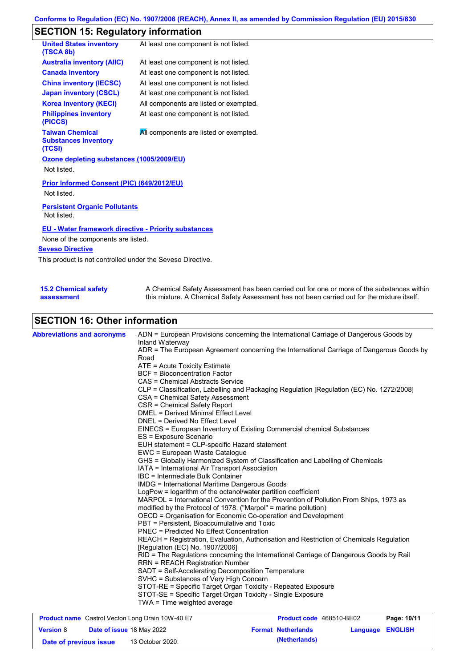## **SECTION 15: Regulatory information**

| <b>United States inventory</b><br>(TSCA 8b)                      | At least one component is not listed.  |
|------------------------------------------------------------------|----------------------------------------|
| <b>Australia inventory (AIIC)</b>                                | At least one component is not listed.  |
| <b>Canada inventory</b>                                          | At least one component is not listed.  |
| <b>China inventory (IECSC)</b>                                   | At least one component is not listed.  |
| <b>Japan inventory (CSCL)</b>                                    | At least one component is not listed.  |
| <b>Korea inventory (KECI)</b>                                    | All components are listed or exempted. |
| <b>Philippines inventory</b><br>(PICCS)                          | At least one component is not listed.  |
| <b>Taiwan Chemical</b><br><b>Substances Inventory</b><br>(TCSI)  | All components are listed or exempted. |
| Ozone depleting substances (1005/2009/EU)<br>Not listed.         |                                        |
| <b>Prior Informed Consent (PIC) (649/2012/EU)</b><br>Not listed. |                                        |
| <b>Persistent Organic Pollutants</b><br>Not listed.              |                                        |
| <b>EU</b> - Water framework directive - Priority substances      |                                        |

None of the components are listed.

#### **Seveso Directive**

This product is not controlled under the Seveso Directive.

| <b>15.2 Chemical safety</b> | A Chemical Safety Assessment has been carried out for one or more of the substances within  |
|-----------------------------|---------------------------------------------------------------------------------------------|
| assessment                  | this mixture. A Chemical Safety Assessment has not been carried out for the mixture itself. |

## **SECTION 16: Other information**

| <b>Abbreviations and acronyms</b> | ADN = European Provisions concerning the International Carriage of Dangerous Goods by<br>Inland Waterway |
|-----------------------------------|----------------------------------------------------------------------------------------------------------|
|                                   | ADR = The European Agreement concerning the International Carriage of Dangerous Goods by                 |
|                                   | Road                                                                                                     |
|                                   | ATE = Acute Toxicity Estimate                                                                            |
|                                   | <b>BCF</b> = Bioconcentration Factor                                                                     |
|                                   | CAS = Chemical Abstracts Service                                                                         |
|                                   | CLP = Classification, Labelling and Packaging Regulation [Regulation (EC) No. 1272/2008]                 |
|                                   | CSA = Chemical Safety Assessment                                                                         |
|                                   | CSR = Chemical Safety Report                                                                             |
|                                   | <b>DMEL = Derived Minimal Effect Level</b>                                                               |
|                                   | DNEL = Derived No Effect Level                                                                           |
|                                   | EINECS = European Inventory of Existing Commercial chemical Substances                                   |
|                                   | ES = Exposure Scenario                                                                                   |
|                                   | EUH statement = CLP-specific Hazard statement                                                            |
|                                   | EWC = European Waste Catalogue                                                                           |
|                                   | GHS = Globally Harmonized System of Classification and Labelling of Chemicals                            |
|                                   | IATA = International Air Transport Association                                                           |
|                                   | IBC = Intermediate Bulk Container                                                                        |
|                                   | <b>IMDG</b> = International Maritime Dangerous Goods                                                     |
|                                   | LogPow = logarithm of the octanol/water partition coefficient                                            |
|                                   | MARPOL = International Convention for the Prevention of Pollution From Ships, 1973 as                    |
|                                   | modified by the Protocol of 1978. ("Marpol" = marine pollution)                                          |
|                                   | OECD = Organisation for Economic Co-operation and Development                                            |
|                                   | PBT = Persistent, Bioaccumulative and Toxic                                                              |
|                                   | <b>PNEC = Predicted No Effect Concentration</b>                                                          |
|                                   | REACH = Registration, Evaluation, Authorisation and Restriction of Chemicals Regulation                  |
|                                   | [Regulation (EC) No. 1907/2006]                                                                          |
|                                   | RID = The Regulations concerning the International Carriage of Dangerous Goods by Rail                   |
|                                   | <b>RRN = REACH Registration Number</b>                                                                   |
|                                   | SADT = Self-Accelerating Decomposition Temperature<br>SVHC = Substances of Very High Concern             |
|                                   | STOT-RE = Specific Target Organ Toxicity - Repeated Exposure                                             |
|                                   | STOT-SE = Specific Target Organ Toxicity - Single Exposure                                               |
|                                   | TWA = Time weighted average                                                                              |
|                                   |                                                                                                          |

| <b>Product name</b> Castrol Vecton Long Drain 10W-40 E7 |  | <b>Product code</b> 468510-BE02 |  | Page: 10/11               |                         |  |
|---------------------------------------------------------|--|---------------------------------|--|---------------------------|-------------------------|--|
| <b>Version 8</b>                                        |  | Date of issue 18 May 2022       |  | <b>Format Netherlands</b> | <b>Language ENGLISH</b> |  |
| Date of previous issue                                  |  | 13 October 2020.                |  | (Netherlands)             |                         |  |